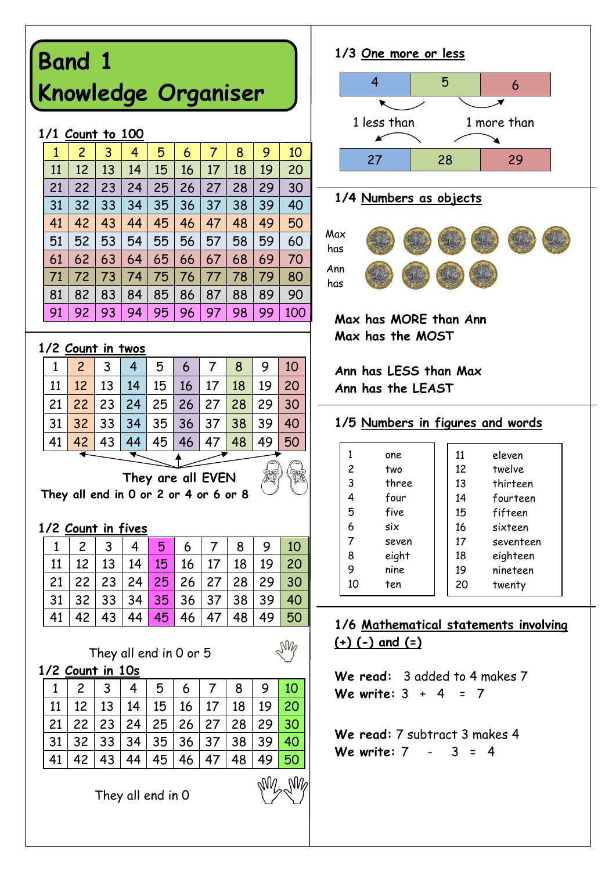# **Band 1 Knowledge Organiser**

#### **1/1 Count to 100**

| 1  | 2  | 3  | 4  | 5  | 6  | 7  | 8  | 9  | 10  |
|----|----|----|----|----|----|----|----|----|-----|
| 11 | 12 | 13 | 14 | 15 | 16 | 17 | 18 | 19 | 20  |
| 21 | 22 | 23 | 24 | 25 | 26 | 27 | 28 | 29 | 30  |
| 31 | 32 | 33 | 34 | 35 | 36 | 37 | 38 | 39 | 40  |
| 41 | 42 | 43 | 44 | 45 | 46 | 47 | 48 | 49 | 50  |
| 51 | 52 | 53 | 54 | 55 | 56 | 57 | 58 | 59 | 60  |
| 61 | 62 | 63 | 64 | 65 | 66 | 67 | 68 | 69 | 70  |
| 71 | 72 | 73 | 74 | 75 | 76 | 77 | 78 | 79 | 80  |
| 81 | 82 | 83 | 84 | 85 | 86 | 87 | 88 | 89 | 90  |
| 91 | 92 | 93 | 94 | 95 | 96 | 97 | 98 | 99 | 100 |

#### **1/2 Count in twos**

|                                                                           | $1 \mid 2 \mid 3 \mid$ | 4   5   6   7   8   9   10                      |  |  |  |
|---------------------------------------------------------------------------|------------------------|-------------------------------------------------|--|--|--|
|                                                                           |                        | 11   12   13   14   15   16   17   18   19   20 |  |  |  |
| 21 <mark>  22  </mark> 23   24   25   26   27 <mark>  28  </mark> 29   30 |                        |                                                 |  |  |  |
| 31   32   33   34   35   36   37   38   39   40                           |                        |                                                 |  |  |  |
|                                                                           |                        | 41 42 43 44 45 46 47 48 49 50                   |  |  |  |

 **They are all EVEN They all end in 0 or 2 or 4 or 6 or 8**

#### **1/2 Count in fives**

| 1   2   3   4   5 |  |  |  | 6   7   8   9   10                                                           |  |
|-------------------|--|--|--|------------------------------------------------------------------------------|--|
|                   |  |  |  | $11 \mid 12 \mid 13 \mid 14 \mid 15 \mid 16 \mid 17 \mid 18 \mid 19 \mid 20$ |  |
|                   |  |  |  | $21   22   23   24   25   26   27   28   29   30$                            |  |
|                   |  |  |  | $31 \mid 32 \mid 33 \mid 34 \mid 35 \mid 36 \mid 37 \mid 38 \mid 39 \mid 40$ |  |
|                   |  |  |  | 42   43   44   45   46   47   48   49   50                                   |  |

**NV** 

They all end in 0 or 5

**1/2 Count in 10s**

|  |  | 1123445678910                                                |  |  |  |
|--|--|--------------------------------------------------------------|--|--|--|
|  |  | 11   12   13   14   15   16   17   18   19   20              |  |  |  |
|  |  | 21   22   23   24   25   26   27   28   29 <mark>  30</mark> |  |  |  |
|  |  | 31   32   33   34   35   36   37   38   39 <mark>  40</mark> |  |  |  |
|  |  | 41   42   43   44   45   46   47   48   49 <mark>  50</mark> |  |  |  |

They all end in 0

### **1/3 One more or less** 4 5 6



#### **1/4 Numbers as objects**



**Max has MORE than Ann Max has the MOST**

**Ann has LESS than Max Ann has the LEAST**

#### **1/5 Numbers in figures and words**

|    | one   | 11 | eleven    |
|----|-------|----|-----------|
| 2  | two   | 12 | twelve    |
| 3  | three | 13 | thirteen  |
| 4  | four  | 14 | fourteen  |
| 5  | five  | 15 | fifteen   |
| 6  | six   | 16 | sixteen   |
| 7  | seven | 17 | seventeen |
| 8  | eight | 18 | eighteen  |
| 9  | nine  | 19 | nineteen  |
| 10 | ten   | 20 | twenty    |

#### **1/6 Mathematical statements involving (+) (-) and (=)**

**We read:** 3 added to 4 makes 7 **We write:** 3 + 4 = 7

**We read:** 7 subtract 3 makes 4 **We write:** 7 - 3 = 4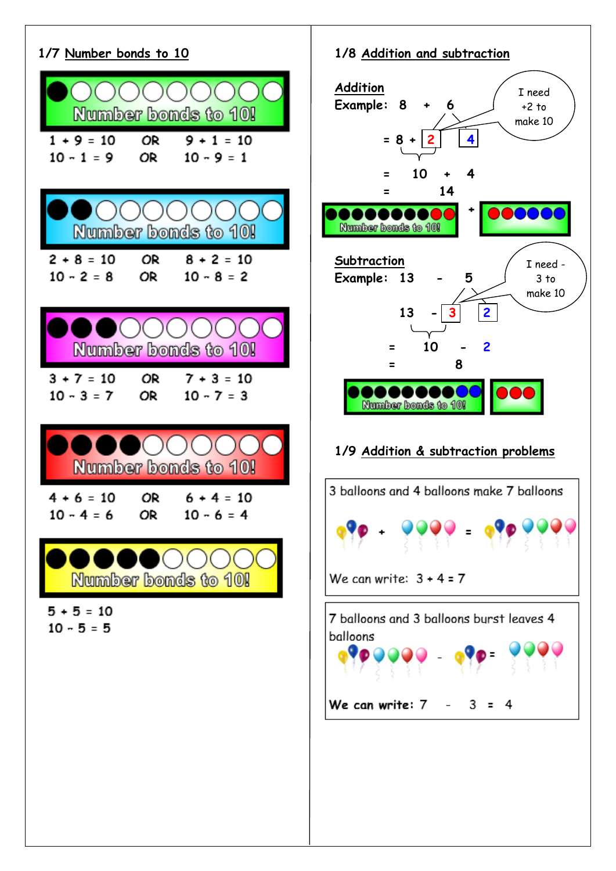

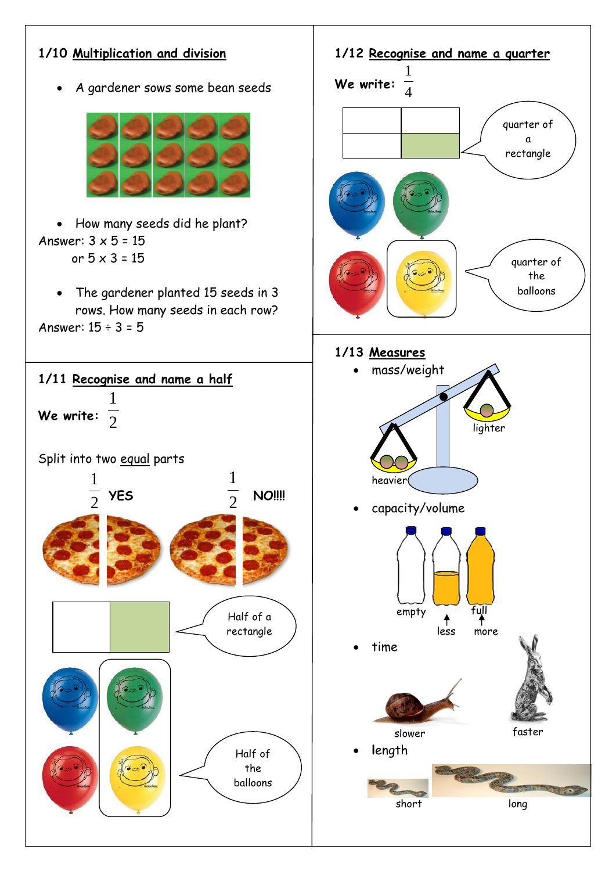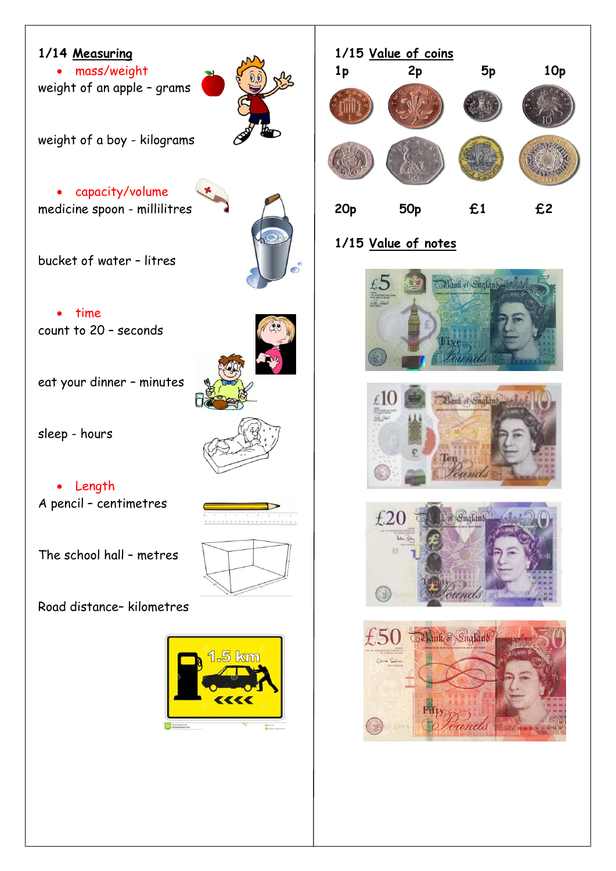### **1/14 Measuring**

 mass/weight weight of an apple – grams

weight of a boy - kilograms

#### capacity/volume medicine spoon - millilitres

bucket of water – litres

• time count to 20 – seconds

eat your dinner – minutes

sleep - hours

• Length A pencil – centimetres

The school hall – metres

Road distance– kilometres





### **1/15 Value of notes**







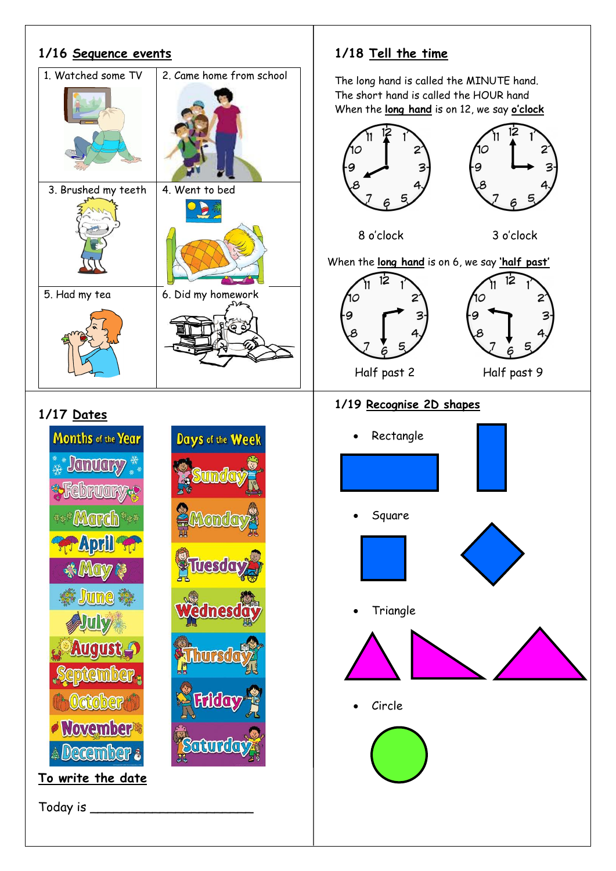## **1/18 Tell the time 1/16 Sequence events** 1. Watched some TV 2. Came home from school The long hand is called the MINUTE hand. The short hand is called the HOUR hand When the **long hand** is on 12, we say **o'clock** 12 3. Brushed my teeth  $\vert$  4. Went to bed D 8 o'clock 3 o'clock When the **long hand** is on 6, we say **'half past'**  $12$  $12$ 5. Had my tea  $\begin{array}{|c|c|} \hline \end{array}$  6. Did my homework Half past 2 Half past 9 **1/19 Recognise 2D shapes 1/17 Dates** Months of the Year Days of the Week Rectangle **January PLANOLY**  Square **MAMPA June**  Triangle Circle *November* **A December To write the date**

Today is \_\_\_\_\_\_\_\_\_\_\_\_\_\_\_\_\_\_\_\_\_